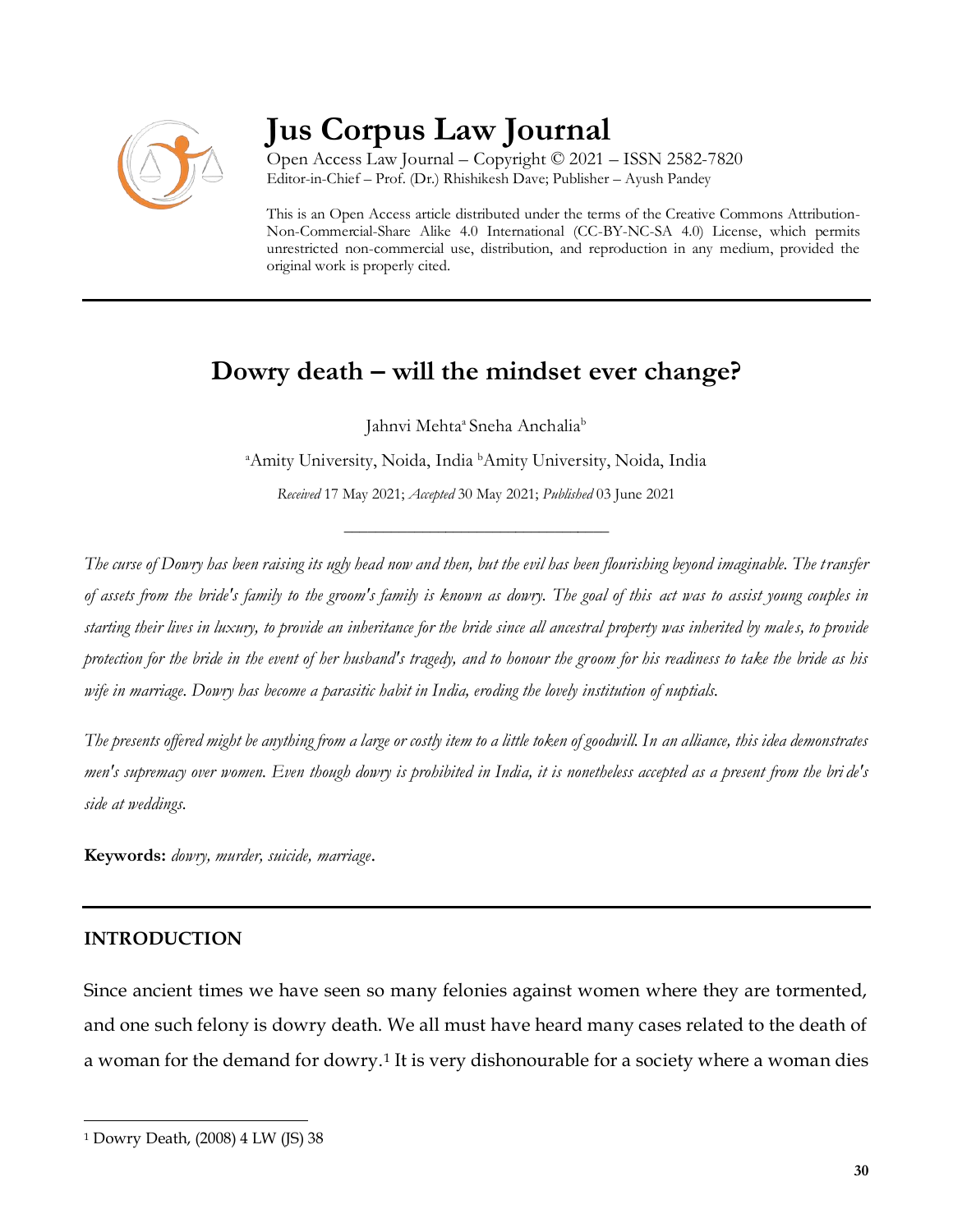

# **Jus Corpus Law Journal**

Open Access Law Journal – Copyright © 2021 – ISSN 2582-7820 Editor-in-Chief – Prof. (Dr.) Rhishikesh Dave; Publisher – Ayush Pandey

This is an Open Access article distributed under the terms of the Creative Commons Attribution-Non-Commercial-Share Alike 4.0 International (CC-BY-NC-SA 4.0) License, which permits unrestricted non-commercial use, distribution, and reproduction in any medium, provided the original work is properly cited.

# **Dowry death – will the mindset ever change?**

Jahnvi Mehta<sup>a</sup> Sneha Anchalia<sup>b</sup>

<sup>a</sup>Amity University, Noida, India <sup>b</sup>Amity University, Noida, India

*Received* 17 May 2021; *Accepted* 30 May 2021; *Published* 03 June 2021

\_\_\_\_\_\_\_\_\_\_\_\_\_\_\_\_\_\_\_\_\_\_\_\_\_\_\_\_\_\_\_\_\_\_

*The curse of Dowry has been raising its ugly head now and then, but the evil has been flourishing beyond imaginable. The transfer of assets from the bride's family to the groom's family is known as dowry. The goal of this act was to assist young couples in starting their lives in luxury, to provide an inheritance for the bride since all ancestral property was inherited by males, to provide protection for the bride in the event of her husband's tragedy, and to honour the groom for his readiness to take the bride as his wife in marriage. Dowry has become a parasitic habit in India, eroding the lovely institution of nuptials.*

*The presents offered might be anything from a large or costly item to a little token of goodwill. In an alliance, this idea demonstrates men's supremacy over women. Even though dowry is prohibited in India, it is nonetheless accepted as a present from the bri de's side at weddings.*

**Keywords:** *dowry, murder, suicide, marriage*.

## **INTRODUCTION**

 $\overline{a}$ 

Since ancient times we have seen so many felonies against women where they are tormented, and one such felony is dowry death. We all must have heard many cases related to the death of a woman for the demand for dowry.<sup>1</sup> It is very dishonourable for a society where a woman dies

<sup>1</sup> Dowry Death, (2008) 4 LW (JS) 38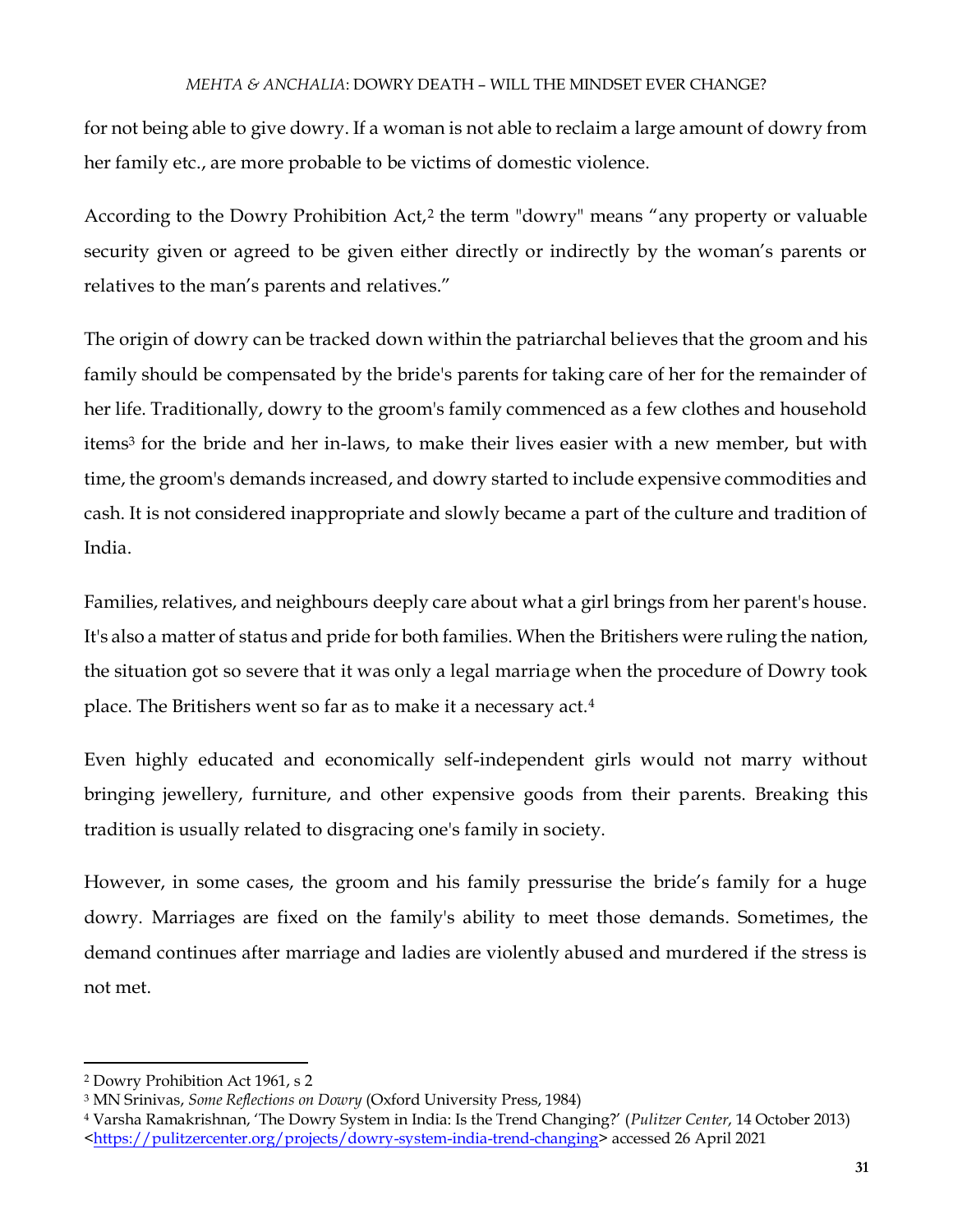for not being able to give dowry. If a woman is not able to reclaim a large amount of dowry from her family etc., are more probable to be victims of domestic violence.

According to the Dowry Prohibition Act,<sup>2</sup> the term "dowry" means "any property or valuable security given or agreed to be given either directly or indirectly by the woman's parents or relatives to the man's parents and relatives."

The origin of dowry can be tracked down within the patriarchal believes that the groom and his family should be compensated by the bride's parents for taking care of her for the remainder of her life. Traditionally, dowry to the groom's family commenced as a few clothes and household items<sup>3</sup> for the bride and her in-laws, to make their lives easier with a new member, but with time, the groom's demands increased, and dowry started to include expensive commodities and cash. It is not considered inappropriate and slowly became a part of the culture and tradition of India.

Families, relatives, and neighbours deeply care about what a girl brings from her parent's house. It's also a matter of status and pride for both families. When the Britishers were ruling the nation, the situation got so severe that it was only a legal marriage when the procedure of Dowry took place. The Britishers went so far as to make it a necessary act.<sup>4</sup>

Even highly educated and economically self-independent girls would not marry without bringing jewellery, furniture, and other expensive goods from their parents. Breaking this tradition is usually related to disgracing one's family in society.

However, in some cases, the groom and his family pressurise the bride's family for a huge dowry. Marriages are fixed on the family's ability to meet those demands. Sometimes, the demand continues after marriage and ladies are violently abused and murdered if the stress is not met.

 $\overline{a}$ 

<sup>2</sup> Dowry Prohibition Act 1961, s 2

<sup>3</sup> MN Srinivas, *Some Reflections on Dowry* (Oxford University Press, 1984)

<sup>4</sup> Varsha Ramakrishnan, 'The Dowry System in India: Is the Trend Changing?' (*Pulitzer Center*, 14 October 2013) [<https://pulitzercenter.org/projects/dowry-system-india-trend-changing>](https://pulitzercenter.org/projects/dowry-system-india-trend-changing) accessed 26 April 2021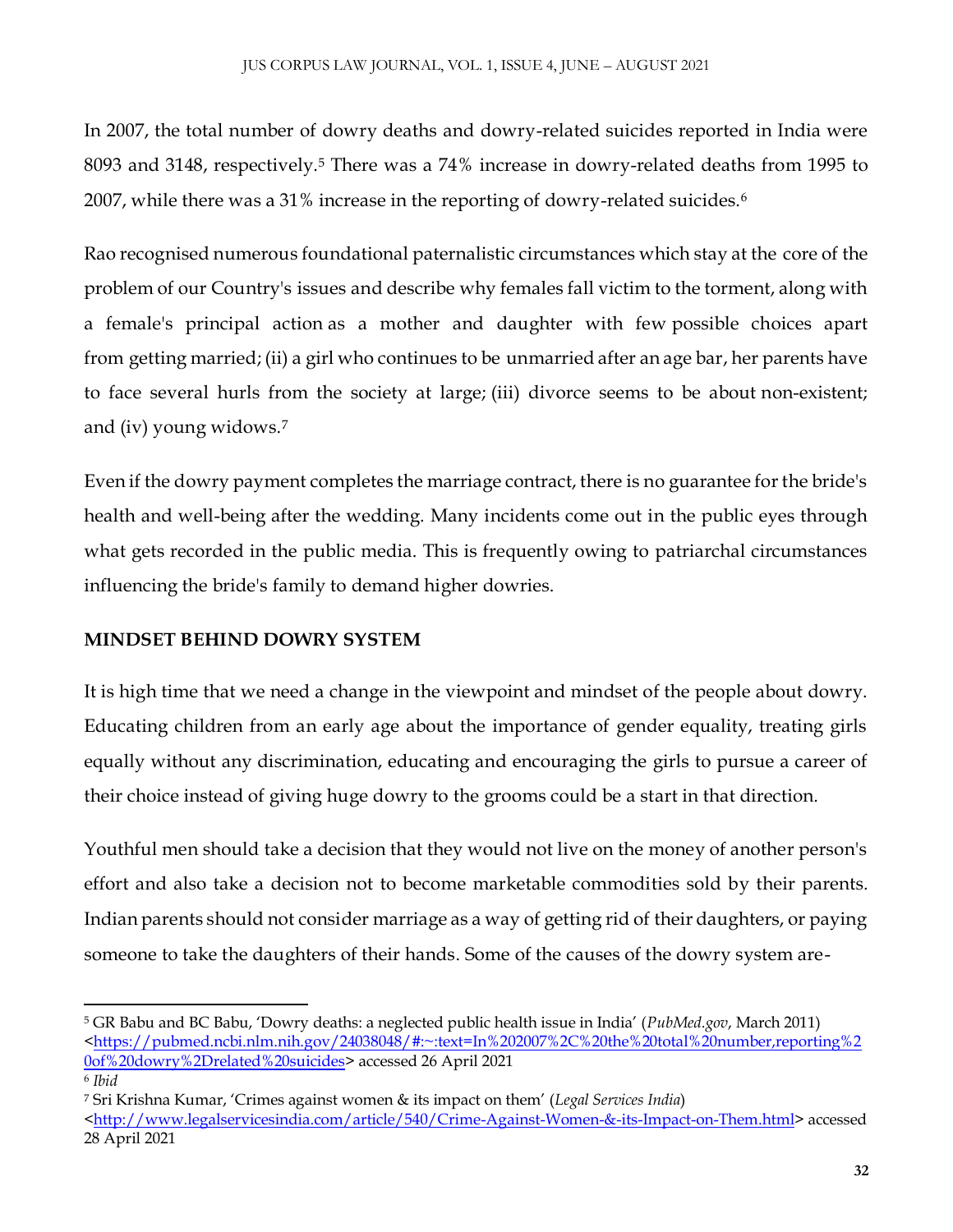In 2007, the total number of dowry deaths and dowry-related suicides reported in India were 8093 and 3148, respectively.<sup>5</sup> There was a 74% increase in dowry-related deaths from 1995 to 2007, while there was a 31% increase in the reporting of dowry-related suicides.<sup>6</sup>

Rao recognised numerous foundational paternalistic circumstances which stay at the core of the problem of our Country's issues and describe why females fall victim to the torment, along with a female's principal action as a mother and daughter with few possible choices apart from getting married; (ii) a girl who continues to be unmarried after an age bar, her parents have to face several hurls from the society at large; (iii) divorce seems to be about non-existent; and (iv) young widows.<sup>7</sup>

Even if the dowry payment completes the marriage contract, there is no guarantee for the bride's health and well-being after the wedding. Many incidents come out in the public eyes through what gets recorded in the public media. This is frequently owing to patriarchal circumstances influencing the bride's family to demand higher dowries.

## **MINDSET BEHIND DOWRY SYSTEM**

It is high time that we need a change in the viewpoint and mindset of the people about dowry. Educating children from an early age about the importance of gender equality, treating girls equally without any discrimination, educating and encouraging the girls to pursue a career of their choice instead of giving huge dowry to the grooms could be a start in that direction.

Youthful men should take a decision that they would not live on the money of another person's effort and also take a decision not to become marketable commodities sold by their parents. Indian parents should not consider marriage as a way of getting rid of their daughters, or paying someone to take the daughters of their hands. Some of the causes of the dowry system are-

 $\overline{a}$ <sup>5</sup> GR Babu and BC Babu, 'Dowry deaths: a neglected public health issue in India' (*PubMed.gov*, March 2011) [<https://pubmed.ncbi.nlm.nih.gov/24038048/#:~:text=In%202007%2C%20the%20total%20number,reporting%2](https://pubmed.ncbi.nlm.nih.gov/24038048/#:~:text=In%202007%2C%20the%20total%20number,reporting%20of%20dowry%2Drelated%20suicides) [0of%20dowry%2Drelated%20suicides>](https://pubmed.ncbi.nlm.nih.gov/24038048/#:~:text=In%202007%2C%20the%20total%20number,reporting%20of%20dowry%2Drelated%20suicides) accessed 26 April 2021 6 *Ibid*

<sup>7</sup> Sri Krishna Kumar, 'Crimes against women & its impact on them' (*Legal Services India*)

[<sup>&</sup>lt;http://www.legalservicesindia.com/article/540/Crime-Against-Women-&-its-Impact-on-Them.html>](http://www.legalservicesindia.com/article/540/Crime-Against-Women-&-its-Impact-on-Them.html) accessed 28 April 2021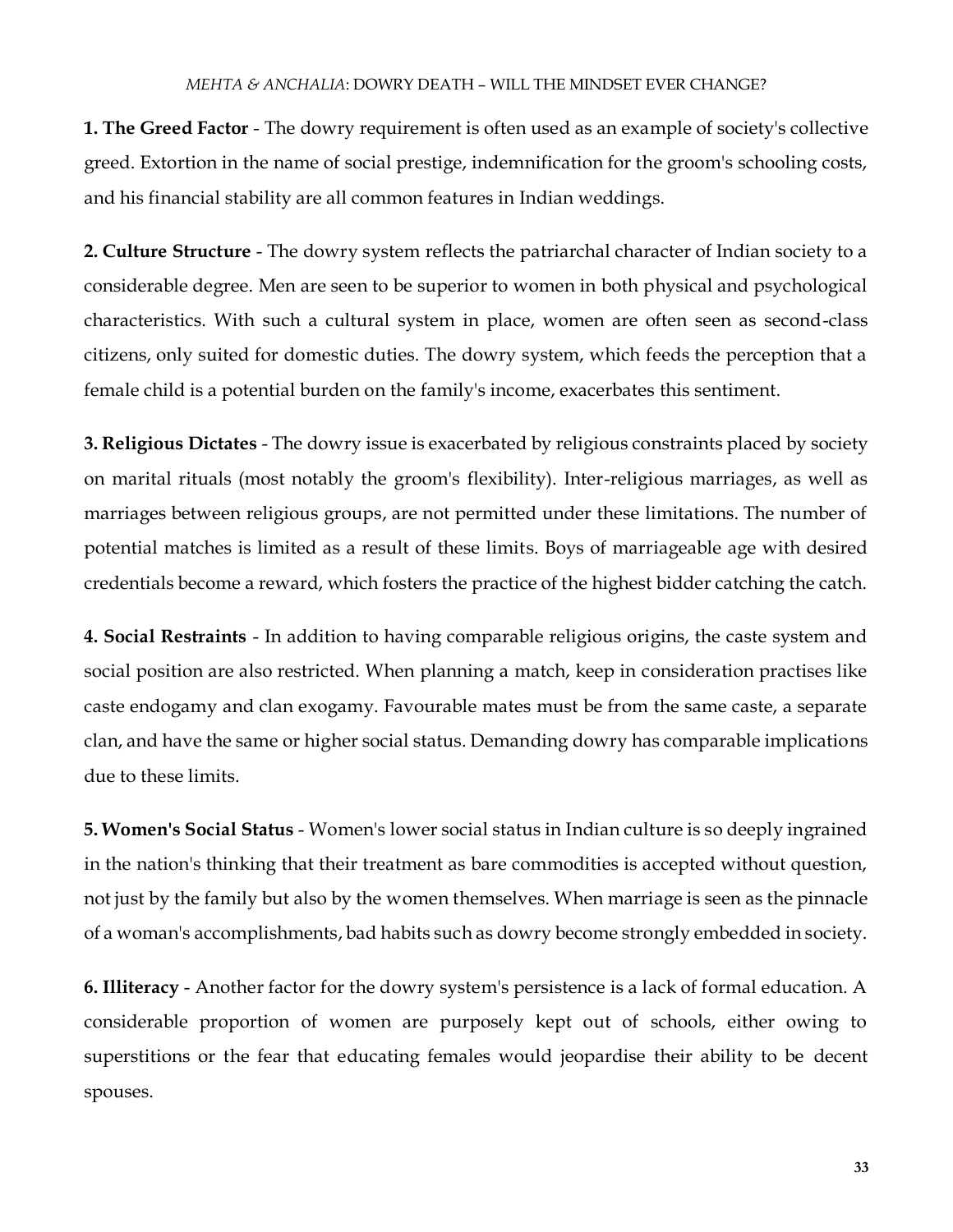**1. The Greed Factor** - The dowry requirement is often used as an example of society's collective greed. Extortion in the name of social prestige, indemnification for the groom's schooling costs, and his financial stability are all common features in Indian weddings.

**2. Culture Structure** - The dowry system reflects the patriarchal character of Indian society to a considerable degree. Men are seen to be superior to women in both physical and psychological characteristics. With such a cultural system in place, women are often seen as second-class citizens, only suited for domestic duties. The dowry system, which feeds the perception that a female child is a potential burden on the family's income, exacerbates this sentiment.

**3. Religious Dictates** - The dowry issue is exacerbated by religious constraints placed by society on marital rituals (most notably the groom's flexibility). Inter-religious marriages, as well as marriages between religious groups, are not permitted under these limitations. The number of potential matches is limited as a result of these limits. Boys of marriageable age with desired credentials become a reward, which fosters the practice of the highest bidder catching the catch.

**4. Social Restraints** - In addition to having comparable religious origins, the caste system and social position are also restricted. When planning a match, keep in consideration practises like caste endogamy and clan exogamy. Favourable mates must be from the same caste, a separate clan, and have the same or higher social status. Demanding dowry has comparable implications due to these limits.

**5. Women's Social Status** - Women's lower social status in Indian culture is so deeply ingrained in the nation's thinking that their treatment as bare commodities is accepted without question, not just by the family but also by the women themselves. When marriage is seen as the pinnacle of a woman's accomplishments, bad habits such as dowry become strongly embedded in society.

**6. Illiteracy** - Another factor for the dowry system's persistence is a lack of formal education. A considerable proportion of women are purposely kept out of schools, either owing to superstitions or the fear that educating females would jeopardise their ability to be decent spouses.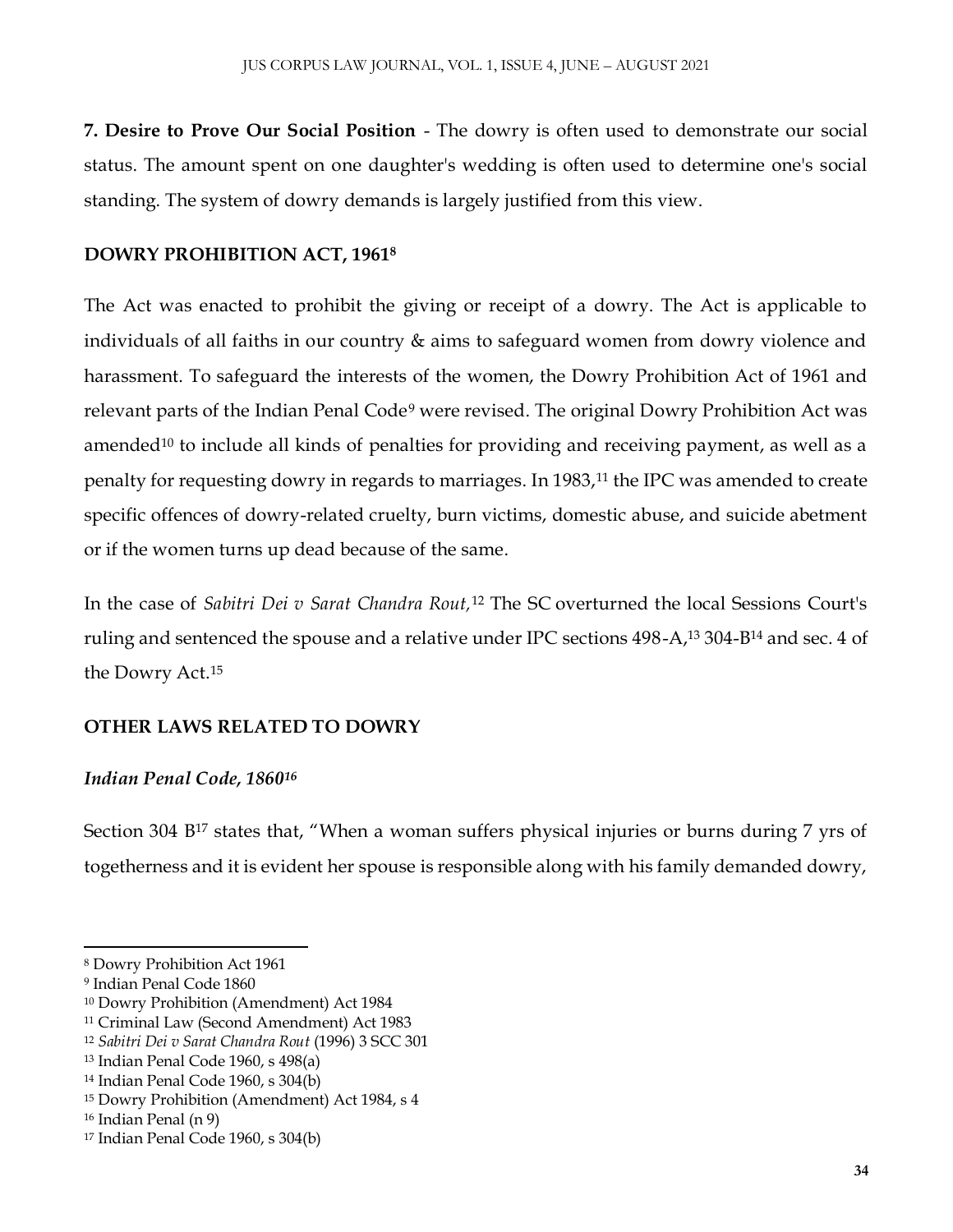**7. Desire to Prove Our Social Position** - The dowry is often used to demonstrate our social status. The amount spent on one daughter's wedding is often used to determine one's social standing. The system of dowry demands is largely justified from this view.

#### **DOWRY PROHIBITION ACT, 1961<sup>8</sup>**

The Act was enacted to prohibit the giving or receipt of a dowry. The Act is applicable to individuals of all faiths in our country & aims to safeguard women from dowry violence and harassment. To safeguard the interests of the women, the Dowry Prohibition Act of 1961 and relevant parts of the Indian Penal Code<sup>9</sup> were revised. The original Dowry Prohibition Act was amended<sup>10</sup> to include all kinds of penalties for providing and receiving payment, as well as a penalty for requesting dowry in regards to marriages. In 1983,<sup>11</sup> the IPC was amended to create specific offences of dowry-related cruelty, burn victims, domestic abuse, and suicide abetment or if the women turns up dead because of the same.

In the case of *Sabitri Dei v Sarat Chandra Rout,*<sup>12</sup> The SC overturned the local Sessions Court's ruling and sentenced the spouse and a relative under IPC sections 498-A,<sup>13</sup> 304-B<sup>14</sup> and sec. 4 of the Dowry Act.<sup>15</sup>

#### **OTHER LAWS RELATED TO DOWRY**

#### *Indian Penal Code, 1860<sup>16</sup>*

Section 304 B<sup>17</sup> states that, "When a woman suffers physical injuries or burns during 7 yrs of togetherness and it is evident her spouse is responsible along with his family demanded dowry,

 $\overline{a}$ 

<sup>8</sup> Dowry Prohibition Act 1961

<sup>9</sup> Indian Penal Code 1860

<sup>10</sup> Dowry Prohibition (Amendment) Act 1984

<sup>11</sup> Criminal Law (Second Amendment) Act 1983

<sup>12</sup> *Sabitri Dei v Sarat Chandra Rout* (1996) 3 SCC 301

<sup>13</sup> Indian Penal Code 1960, s 498(a)

<sup>14</sup> Indian Penal Code 1960, s 304(b)

<sup>15</sup> Dowry Prohibition (Amendment) Act 1984, s 4

<sup>16</sup> Indian Penal (n 9)

<sup>17</sup> Indian Penal Code 1960, s 304(b)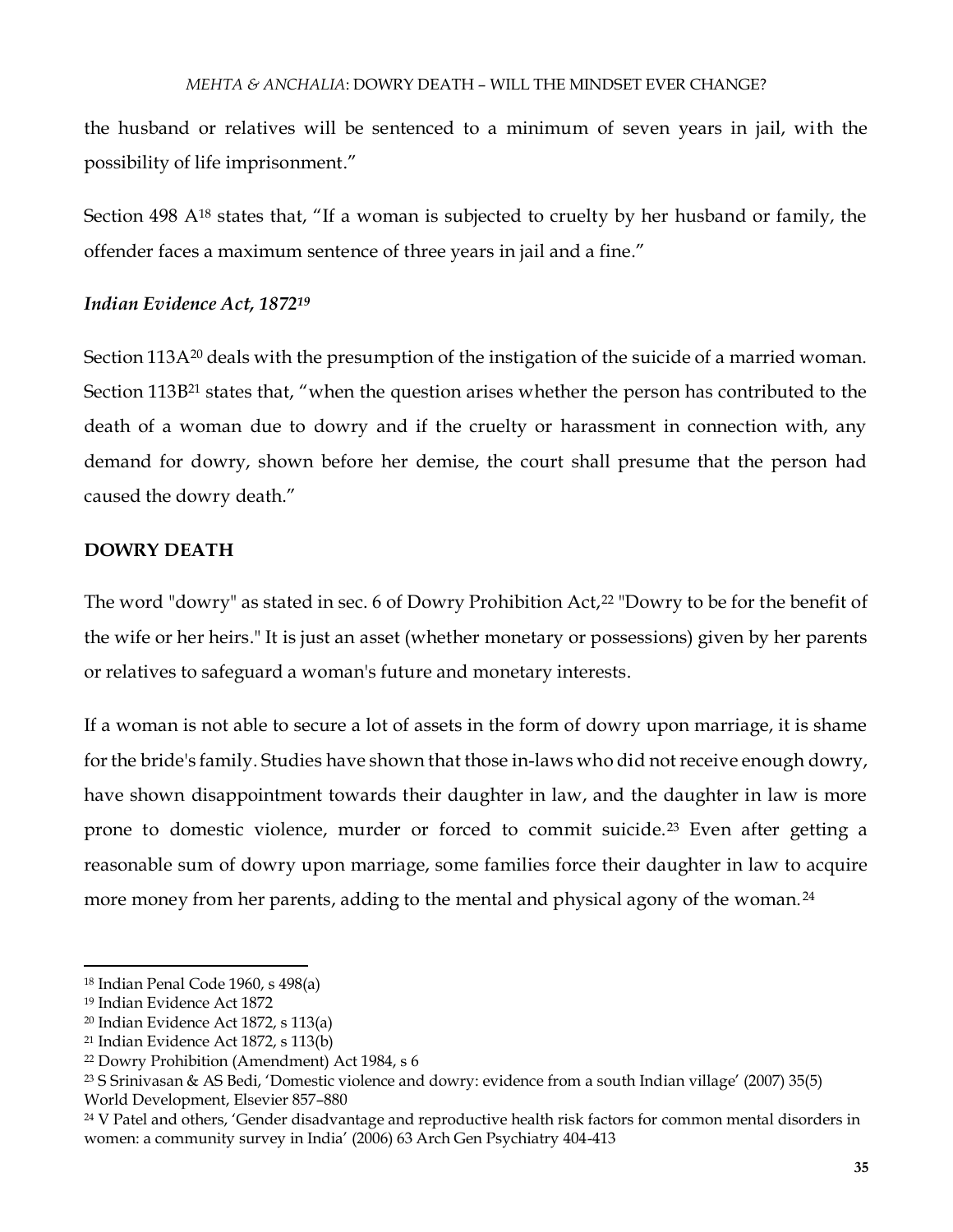the husband or relatives will be sentenced to a minimum of seven years in jail, with the possibility of life imprisonment."

Section 498 A<sup>18</sup> states that, "If a woman is subjected to cruelty by her husband or family, the offender faces a maximum sentence of three years in jail and a fine."

#### *Indian Evidence Act, 1872<sup>19</sup>*

Section 113A<sup>20</sup> deals with the presumption of the instigation of the suicide of a married woman. Section 113B<sup>21</sup> states that, "when the question arises whether the person has contributed to the death of a woman due to dowry and if the cruelty or harassment in connection with, any demand for dowry, shown before her demise, the court shall presume that the person had caused the dowry death."

#### **DOWRY DEATH**

The word "dowry" as stated in sec. 6 of Dowry Prohibition Act, $22$  "Dowry to be for the benefit of the wife or her heirs." It is just an asset (whether monetary or possessions) given by her parents or relatives to safeguard a woman's future and monetary interests.

If a woman is not able to secure a lot of assets in the form of dowry upon marriage, it is shame for the bride's family. Studies have shown that those in-laws who did not receive enough dowry, have shown disappointment towards their daughter in law, and the daughter in law is more prone to domestic violence, murder or forced to commit suicide.<sup>23</sup> Even after getting a reasonable sum of dowry upon marriage, some families force their daughter in law to acquire more money from her parents, adding to the mental and physical agony of the woman.<sup>24</sup>

 $\overline{\phantom{a}}$ 

<sup>18</sup> Indian Penal Code 1960, s 498(a)

<sup>19</sup> Indian Evidence Act 1872

<sup>20</sup> Indian Evidence Act 1872, s 113(a)

<sup>21</sup> Indian Evidence Act 1872, s 113(b)

<sup>22</sup> Dowry Prohibition (Amendment) Act 1984, s 6

<sup>23</sup> S Srinivasan & AS Bedi, 'Domestic violence and dowry: evidence from a south Indian village' (2007) 35(5) World Development, Elsevier 857–880

<sup>&</sup>lt;sup>24</sup> V Patel and others, 'Gender disadvantage and reproductive health risk factors for common mental disorders in women: a community survey in India' (2006) 63 Arch Gen Psychiatry 404-413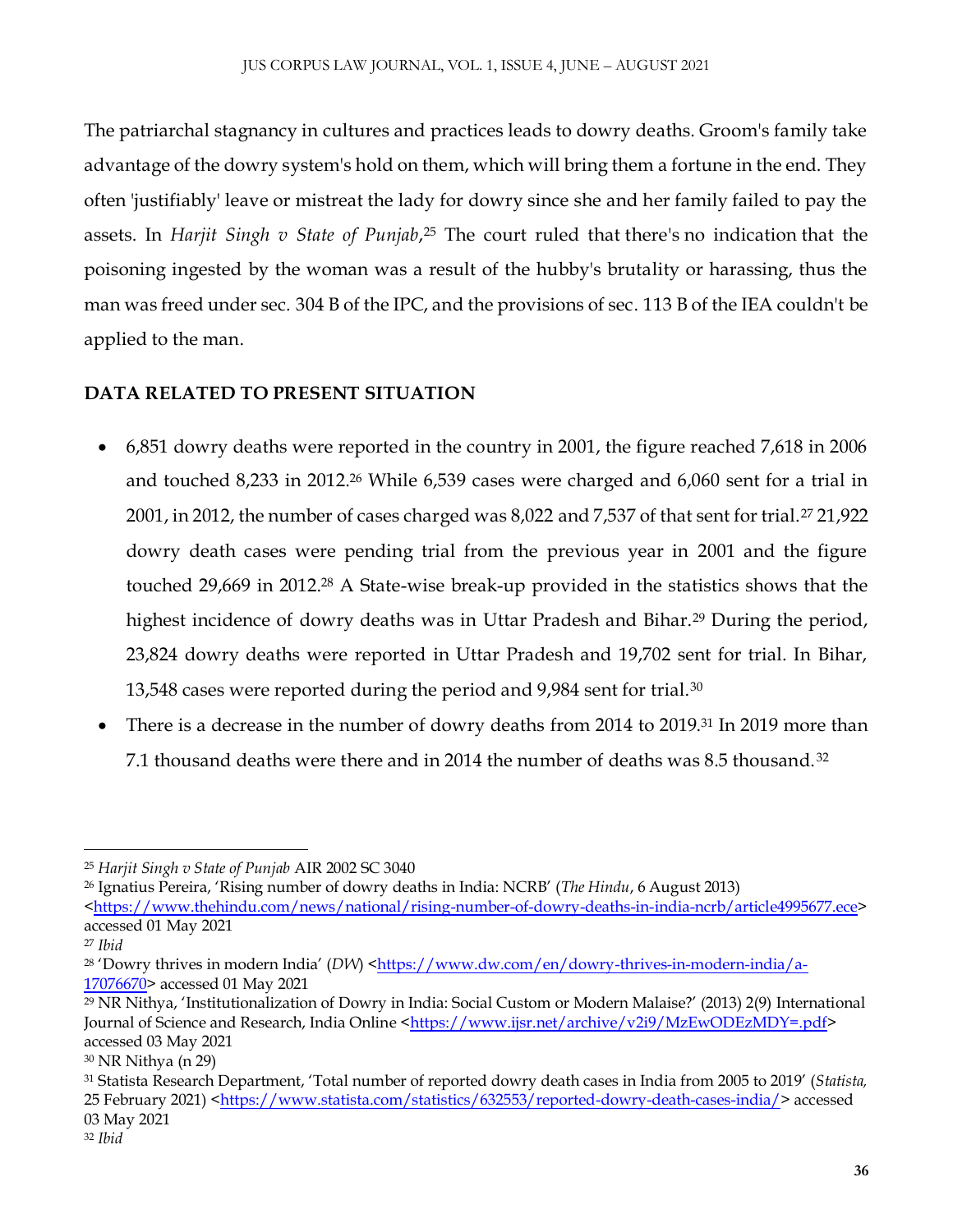The patriarchal stagnancy in cultures and practices leads to dowry deaths. Groom's family take advantage of the dowry system's hold on them, which will bring them a fortune in the end. They often 'justifiably' leave or mistreat the lady for dowry since she and her family failed to pay the assets. In *Harjit Singh v State of Punjab*,<sup>25</sup> The court ruled that there's no indication that the poisoning ingested by the woman was a result of the hubby's brutality or harassing, thus the man was freed under sec. 304 B of the IPC, and the provisions of sec. 113 B of the IEA couldn't be applied to the man.

# **DATA RELATED TO PRESENT SITUATION**

- 6,851 dowry deaths were reported in the country in 2001, the figure reached 7,618 in 2006 and touched 8,233 in 2012.<sup>26</sup> While 6,539 cases were charged and 6,060 sent for a trial in 2001, in 2012, the number of cases charged was 8,022 and 7,537 of that sent for trial.<sup>27</sup> 21,922 dowry death cases were pending trial from the previous year in 2001 and the figure touched 29,669 in 2012.<sup>28</sup> A State-wise break-up provided in the statistics shows that the highest incidence of dowry deaths was in Uttar Pradesh and Bihar.<sup>29</sup> During the period, 23,824 dowry deaths were reported in Uttar Pradesh and 19,702 sent for trial. In Bihar, 13,548 cases were reported during the period and 9,984 sent for trial.<sup>30</sup>
- There is a decrease in the number of dowry deaths from 2014 to 2019.<sup>31</sup> In 2019 more than 7.1 thousand deaths were there and in 2014 the number of deaths was 8.5 thousand. <sup>32</sup>

<sup>26</sup> Ignatius Pereira, 'Rising number of dowry deaths in India: NCRB' (*The Hindu*, 6 August 2013) [<https://www.thehindu.com/news/national/rising-number-of-dowry-deaths-in-india-ncrb/article4995677.ece>](https://www.thehindu.com/news/national/rising-number-of-dowry-deaths-in-india-ncrb/article4995677.ece) accessed 01 May 2021

 $\overline{a}$ <sup>25</sup> *Harjit Singh v State of Punjab* AIR 2002 SC 3040

<sup>27</sup> *Ibid*

<sup>&</sup>lt;sup>28</sup> 'Dowry thrives in modern India' (*DW*) [<https://www.dw.com/en/dowry-thrives-in-modern-india/a-](https://www.dw.com/en/dowry-thrives-in-modern-india/a-17076670)[17076670>](https://www.dw.com/en/dowry-thrives-in-modern-india/a-17076670) accessed 01 May 2021

<sup>29</sup> NR Nithya, 'Institutionalization of Dowry in India: Social Custom or Modern Malaise?' (2013) 2(9) International Journal of Science and Research, India Online [<https://www.ijsr.net/archive/v2i9/MzEwODEzMDY=.pdf>](https://www.ijsr.net/archive/v2i9/MzEwODEzMDY=.pdf) accessed 03 May 2021

<sup>30</sup> NR Nithya (n 29)

<sup>31</sup> Statista Research Department, 'Total number of reported dowry death cases in India from 2005 to 2019' (*Statista,* 25 February 2021) [<https://www.statista.com/statistics/632553/reported-dowry-death-cases-india/>](https://www.statista.com/statistics/632553/reported-dowry-death-cases-india/) accessed 03 May 2021

<sup>32</sup> *Ibid*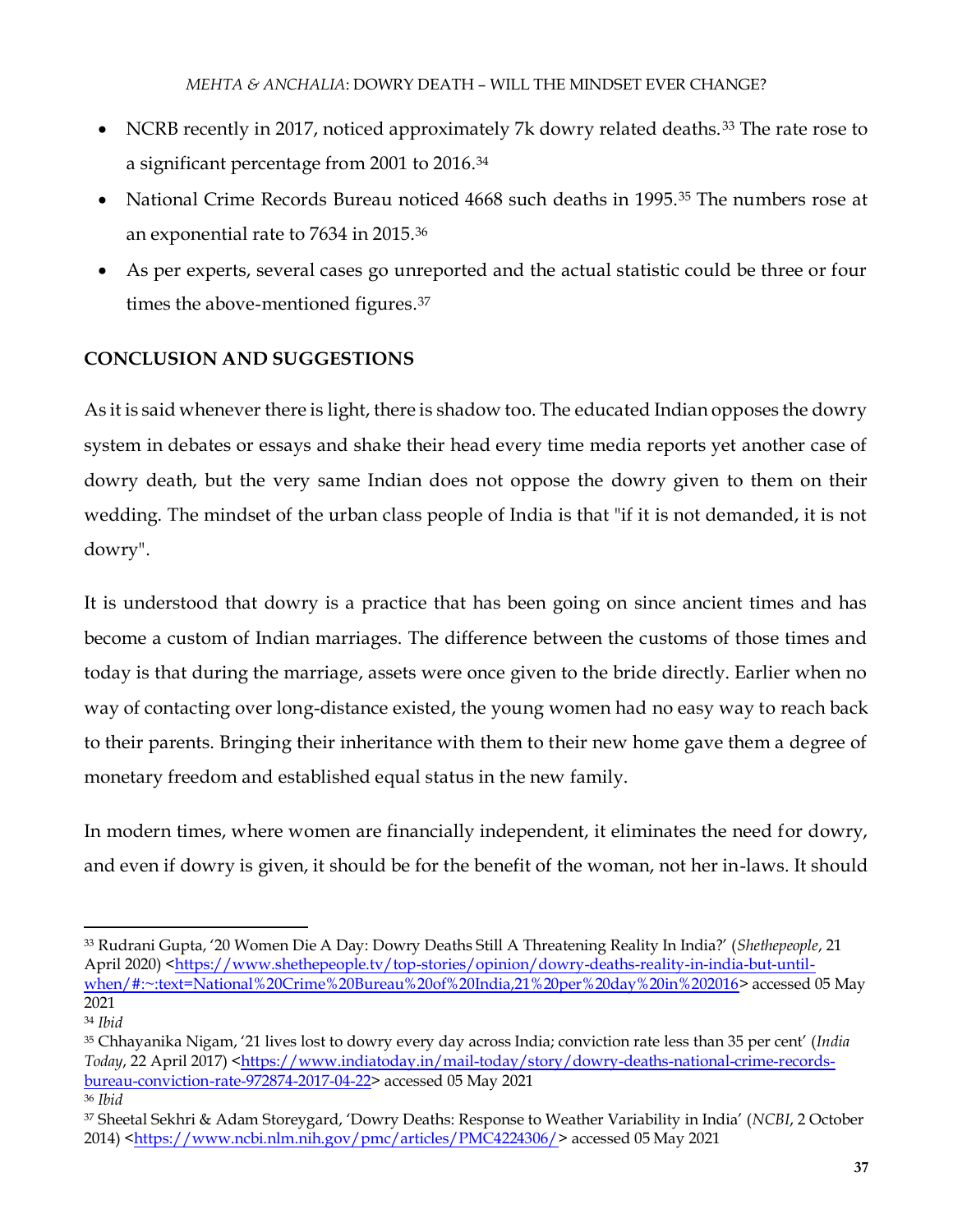- NCRB recently in 2017, noticed approximately 7k dowry related deaths.<sup>33</sup> The rate rose to a significant percentage from 2001 to 2016.<sup>34</sup>
- National Crime Records Bureau noticed 4668 such deaths in 1995.<sup>35</sup> The numbers rose at an exponential rate to 7634 in 2015.<sup>36</sup>
- As per experts, several cases go unreported and the actual statistic could be three or four times the above-mentioned figures.<sup>37</sup>

# **CONCLUSION AND SUGGESTIONS**

As it is said whenever there is light, there is shadow too. The educated Indian opposes the dowry system in debates or essays and shake their head every time media reports yet another case of dowry death, but the very same Indian does not oppose the dowry given to them on their wedding. The mindset of the urban class people of India is that "if it is not demanded, it is not dowry".

It is understood that dowry is a practice that has been going on since ancient times and has become a custom of Indian marriages. The difference between the customs of those times and today is that during the marriage, assets were once given to the bride directly. Earlier when no way of contacting over long-distance existed, the young women had no easy way to reach back to their parents. Bringing their inheritance with them to their new home gave them a degree of monetary freedom and established equal status in the new family.

In modern times, where women are financially independent, it eliminates the need for dowry, and even if dowry is given, it should be for the benefit of the woman, not her in-laws. It should

l <sup>33</sup> Rudrani Gupta, '20 Women Die A Day: Dowry Deaths Still A Threatening Reality In India?' (*Shethepeople*, 21 April 2020) [<https://www.shethepeople.tv/top-stories/opinion/dowry-deaths-reality-in-india-but-until](https://www.shethepeople.tv/top-stories/opinion/dowry-deaths-reality-in-india-but-until-when/#:~:text=National%20Crime%20Bureau%20of%20India,21%20per%20day%20in%202016)[when/#:~:text=National%20Crime%20Bureau%20of%20India,21%20per%20day%20in%202016>](https://www.shethepeople.tv/top-stories/opinion/dowry-deaths-reality-in-india-but-until-when/#:~:text=National%20Crime%20Bureau%20of%20India,21%20per%20day%20in%202016) accessed 05 May 2021 <sup>34</sup> *Ibid*

<sup>35</sup> Chhayanika Nigam, '21 lives lost to dowry every day across India; conviction rate less than 35 per cent' (*India Today*, 22 April 2017) [<https://www.indiatoday.in/mail-today/story/dowry-deaths-national-crime-records](https://www.indiatoday.in/mail-today/story/dowry-deaths-national-crime-records-bureau-conviction-rate-972874-2017-04-22)[bureau-conviction-rate-972874-2017-04-22>](https://www.indiatoday.in/mail-today/story/dowry-deaths-national-crime-records-bureau-conviction-rate-972874-2017-04-22) accessed 05 May 2021 <sup>36</sup> *Ibid*

<sup>37</sup> Sheetal Sekhri & Adam Storeygard, 'Dowry Deaths: Response to Weather Variability in India' (*NCBI*, 2 October 2014) [<https://www.ncbi.nlm.nih.gov/pmc/articles/PMC4224306/>](https://www.ncbi.nlm.nih.gov/pmc/articles/PMC4224306/) accessed 05 May 2021